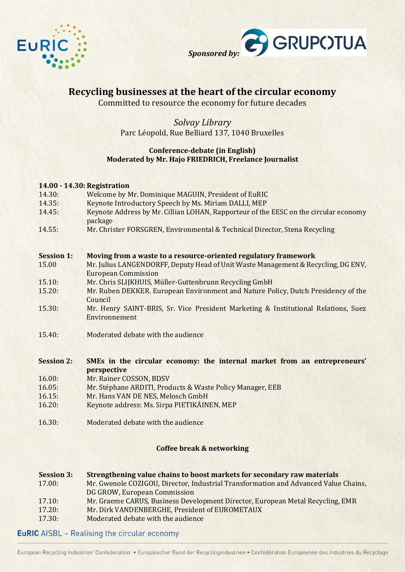



# **Recycling businesses at the heart of the circular economy**

Committed to resource the economy for future decades

# *Solvay Library* Parc Léopold, Rue Belliard 137, 1040 Bruxelles

#### **Conference-debate (in English) Moderated by Mr. Hajo FRIEDRICH, Freelance Journalist**

| 14.00 - 14.30: Registration |                                                                                                                 |  |
|-----------------------------|-----------------------------------------------------------------------------------------------------------------|--|
| 14.30:                      | Welcome by Mr. Dominique MAGUIN, President of EuRIC                                                             |  |
| 14.35:                      | Keynote Introductory Speech by Ms. Miriam DALLI, MEP                                                            |  |
| 14.45:                      | Keynote Address by Mr. Cillian LOHAN, Rapporteur of the EESC on the circular economy<br>package                 |  |
| 14.55:                      | Mr. Christer FORSGREN, Environmental & Technical Director, Stena Recycling                                      |  |
| <b>Session 1:</b>           | Moving from a waste to a resource-oriented regulatory framework                                                 |  |
| 15.00                       | Mr. Julius LANGENDORFF, Deputy Head of Unit Waste Management & Recycling, DG ENV,<br><b>European Commission</b> |  |
| 15.10:                      | Mr. Chris SLIJKHUIS, Müller-Guttenbrunn Recycling GmbH                                                          |  |
| 15.20:                      | Mr. Ruben DEKKER, European Environment and Nature Policy, Dutch Presidency of the<br>Council                    |  |
| 15.30:                      | Mr. Henry SAINT-BRIS, Sr. Vice President Marketing & Institutional Relations, Suez<br>Environnement             |  |
| 15.40:                      | Moderated debate with the audience                                                                              |  |
| <b>Session 2:</b>           | SMEs in the circular economy: the internal market from an entrepreneurs'                                        |  |
|                             | perspective                                                                                                     |  |
| 16.00:                      | Mr. Rainer COSSON, BDSV                                                                                         |  |
| 16.05:                      | Mr. Stéphane ARDITI, Products & Waste Policy Manager, EEB                                                       |  |
| 16.15:                      | Mr. Hans VAN DE NES, Melosch GmbH                                                                               |  |
| 16.20:                      | Keynote address: Ms. Sirpa PIETIKÄINEN, MEP                                                                     |  |
| 16.30:                      | Moderated debate with the audience                                                                              |  |

## **Coffee break & networking**

| <b>Session 3:</b><br>17.00: | Strengthening value chains to boost markets for secondary raw materials<br>Mr. Gwenole COZIGOU, Director, Industrial Transformation and Advanced Value Chains,<br>DG GROW, European Commission |
|-----------------------------|------------------------------------------------------------------------------------------------------------------------------------------------------------------------------------------------|
| 17.10:                      | Mr. Graeme CARUS, Business Development Director, European Metal Recycling, EMR                                                                                                                 |
| 17.20:                      | Mr. Dirk VANDENBERGHE, President of EUROMETAUX                                                                                                                                                 |
| 17.30:                      | Moderated debate with the audience                                                                                                                                                             |

## **EuRIC** AISBL - Realising the circular economy